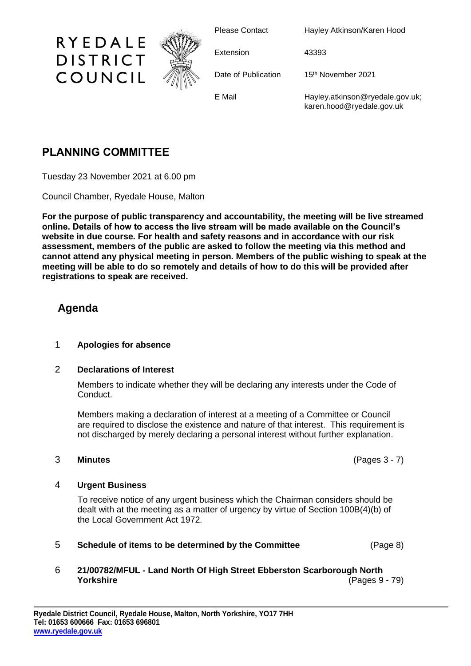

Please Contact Hayley Atkinson/Karen Hood

Extension 43393

Date of Publication 15<sup>th</sup> November 2021

E Mail **Hayley.atkinson@ryedale.gov.uk**; karen.hood@ryedale.gov.uk

# **PLANNING COMMITTEE**

RYEDALE

**DISTRICT** 

COUNCIL

Tuesday 23 November 2021 at 6.00 pm

Council Chamber, Ryedale House, Malton

**For the purpose of public transparency and accountability, the meeting will be live streamed online. Details of how to access the live stream will be made available on the Council's website in due course. For health and safety reasons and in accordance with our risk assessment, members of the public are asked to follow the meeting via this method and cannot attend any physical meeting in person. Members of the public wishing to speak at the meeting will be able to do so remotely and details of how to do this will be provided after registrations to speak are received.**

## **Agenda**

### 1 **Apologies for absence**

### 2 **Declarations of Interest**

Members to indicate whether they will be declaring any interests under the Code of Conduct.

Members making a declaration of interest at a meeting of a Committee or Council are required to disclose the existence and nature of that interest. This requirement is not discharged by merely declaring a personal interest without further explanation.

### 3 **Minutes** (Pages 3 - 7)

### 4 **Urgent Business**

To receive notice of any urgent business which the Chairman considers should be dealt with at the meeting as a matter of urgency by virtue of Section 100B(4)(b) of the Local Government Act 1972.

5 **Schedule of items to be determined by the Committee** (Page 8)

### 6 **21/00782/MFUL - Land North Of High Street Ebberston Scarborough North Yorkshire** (Pages 9 - 79)